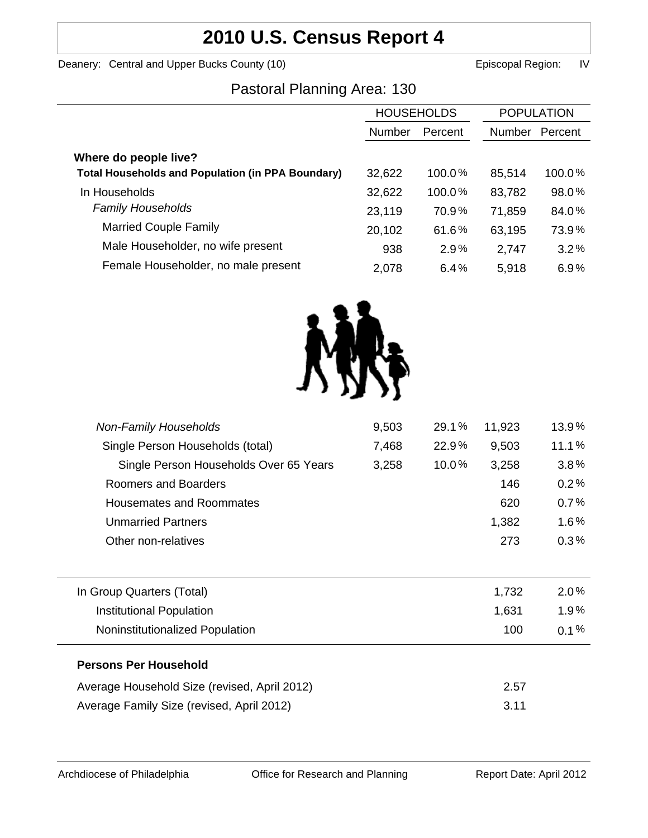# **2010 U.S. Census Report 4**

Deanery: Central and Upper Bucks County (10) Deanery: Central and Upper Bucks County (10)

# Pastoral Planning Area: 130

|                                                          | <b>HOUSEHOLDS</b> |         | <b>POPULATION</b> |         |
|----------------------------------------------------------|-------------------|---------|-------------------|---------|
|                                                          | Number            | Percent | <b>Number</b>     | Percent |
| Where do people live?                                    |                   |         |                   |         |
| <b>Total Households and Population (in PPA Boundary)</b> | 32,622            | 100.0%  | 85,514            | 100.0%  |
| In Households                                            | 32,622            | 100.0%  | 83,782            | 98.0%   |
| <b>Family Households</b>                                 | 23,119            | 70.9%   | 71,859            | 84.0%   |
| <b>Married Couple Family</b>                             | 20,102            | 61.6%   | 63,195            | 73.9%   |
| Male Householder, no wife present                        | 938               | 2.9%    | 2,747             | 3.2%    |
| Female Householder, no male present                      | 2,078             | 6.4%    | 5,918             | 6.9%    |
|                                                          |                   |         |                   |         |



| 9,503 | 29.1% | 11,923 | 13.9%   |
|-------|-------|--------|---------|
| 7,468 | 22.9% | 9,503  | 11.1%   |
| 3,258 | 10.0% | 3,258  | 3.8%    |
|       |       | 146    | 0.2%    |
|       |       | 620    | 0.7%    |
|       |       | 1,382  | $1.6\%$ |
|       |       | 273    | 0.3%    |
|       |       |        |         |
|       |       | 1,732  | $2.0\%$ |
|       |       | 1,631  | 1.9%    |
|       |       | 100    | $0.1\%$ |
|       |       |        |         |
|       |       | 2.57   |         |
|       |       | 3.11   |         |
|       |       |        |         |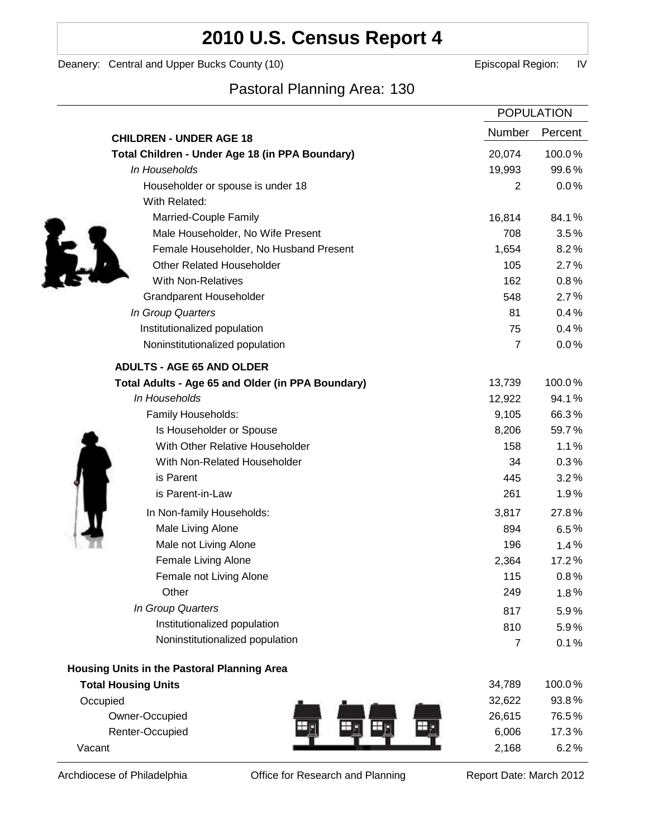# **2010 U.S. Census Report 4**

Deanery: Central and Upper Bucks County (10) Deanery: Central and Upper Bucks County (10)

# Pastoral Planning Area: 130

|                                                   | <b>POPULATION</b> |         |
|---------------------------------------------------|-------------------|---------|
| <b>CHILDREN - UNDER AGE 18</b>                    | Number            | Percent |
| Total Children - Under Age 18 (in PPA Boundary)   | 20,074            | 100.0%  |
| In Households                                     | 19,993            | 99.6%   |
| Householder or spouse is under 18                 | $\overline{2}$    | 0.0%    |
| With Related:                                     |                   |         |
| Married-Couple Family                             | 16,814            | 84.1%   |
| Male Householder, No Wife Present                 | 708               | 3.5%    |
| Female Householder, No Husband Present            | 1,654             | 8.2%    |
| <b>Other Related Householder</b>                  | 105               | 2.7%    |
| <b>With Non-Relatives</b>                         | 162               | 0.8%    |
| Grandparent Householder                           | 548               | 2.7%    |
| In Group Quarters                                 | 81                | 0.4%    |
| Institutionalized population                      | 75                | 0.4%    |
| Noninstitutionalized population                   | $\overline{7}$    | 0.0%    |
| <b>ADULTS - AGE 65 AND OLDER</b>                  |                   |         |
| Total Adults - Age 65 and Older (in PPA Boundary) | 13,739            | 100.0%  |
| In Households                                     | 12,922            | 94.1%   |
| Family Households:                                | 9,105             | 66.3%   |
| Is Householder or Spouse                          | 8,206             | 59.7%   |
| With Other Relative Householder                   | 158               | 1.1%    |
| With Non-Related Householder                      | 34                | 0.3%    |
| is Parent                                         | 445               | 3.2%    |
| is Parent-in-Law                                  | 261               | 1.9%    |
| In Non-family Households:                         | 3,817             | 27.8%   |
| Male Living Alone                                 | 894               | 6.5%    |
| Male not Living Alone                             | 196               | 1.4%    |
| Female Living Alone                               | 2,364             | 17.2%   |
| Female not Living Alone                           | 115               | $0.8\%$ |
| Other                                             | 249               | 1.8%    |
| In Group Quarters                                 | 817               | 5.9%    |
| Institutionalized population                      | 810               | 5.9%    |
| Noninstitutionalized population                   | 7                 | 0.1%    |
|                                                   |                   |         |
| Housing Units in the Pastoral Planning Area       |                   |         |
| <b>Total Housing Units</b>                        | 34,789            | 100.0%  |
| Occupied                                          | 32,622            | 93.8%   |
| Owner-Occupied                                    | 26,615            | 76.5%   |
| Renter-Occupied                                   | 6,006             | 17.3%   |
| Vacant                                            | 2,168             | 6.2%    |

Archdiocese of Philadelphia **Office for Research and Planning** Report Date: March 2012